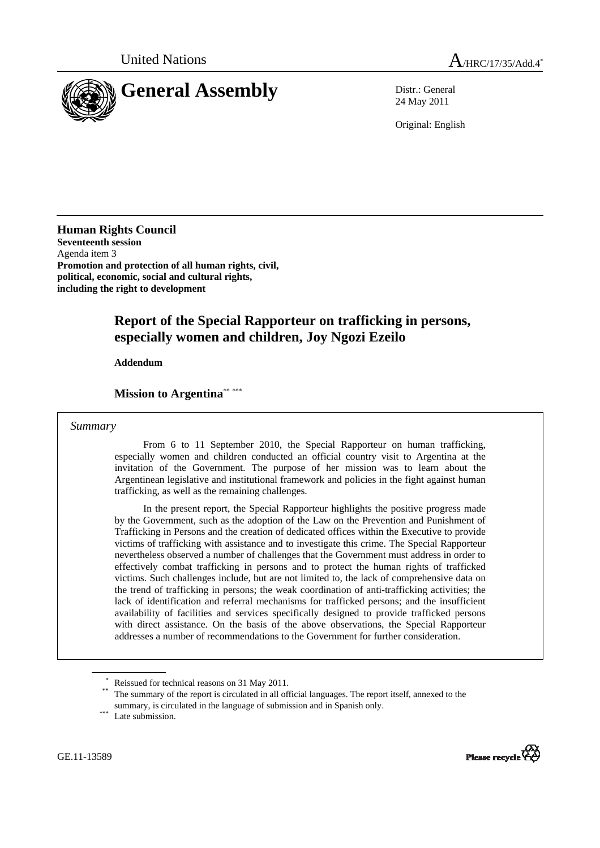

24 May 2011

Original: English

**Human Rights Council Seventeenth session**  Agenda item 3 **Promotion and protection of all human rights, civil, political, economic, social and cultural rights, including the right to development** 

# **Report of the Special Rapporteur on trafficking in persons, especially women and children, Joy Ngozi Ezeilo**

 **Addendum** 

## **Mission to Argentina**\*\* \*\*\*

#### *Summary*

 From 6 to 11 September 2010, the Special Rapporteur on human trafficking, especially women and children conducted an official country visit to Argentina at the invitation of the Government. The purpose of her mission was to learn about the Argentinean legislative and institutional framework and policies in the fight against human trafficking, as well as the remaining challenges.

 In the present report, the Special Rapporteur highlights the positive progress made by the Government, such as the adoption of the Law on the Prevention and Punishment of Trafficking in Persons and the creation of dedicated offices within the Executive to provide victims of trafficking with assistance and to investigate this crime. The Special Rapporteur nevertheless observed a number of challenges that the Government must address in order to effectively combat trafficking in persons and to protect the human rights of trafficked victims. Such challenges include, but are not limited to, the lack of comprehensive data on the trend of trafficking in persons; the weak coordination of anti-trafficking activities; the lack of identification and referral mechanisms for trafficked persons; and the insufficient availability of facilities and services specifically designed to provide trafficked persons with direct assistance. On the basis of the above observations, the Special Rapporteur addresses a number of recommendations to the Government for further consideration.

GE.11-13589



<sup>\*</sup>

Reissued for technical reasons on 31 May 2011.<br>The summary of the report is circulated in all official languages. The report itself, annexed to the summary, is circulated in the language of submission and in Spanish only. Late submission.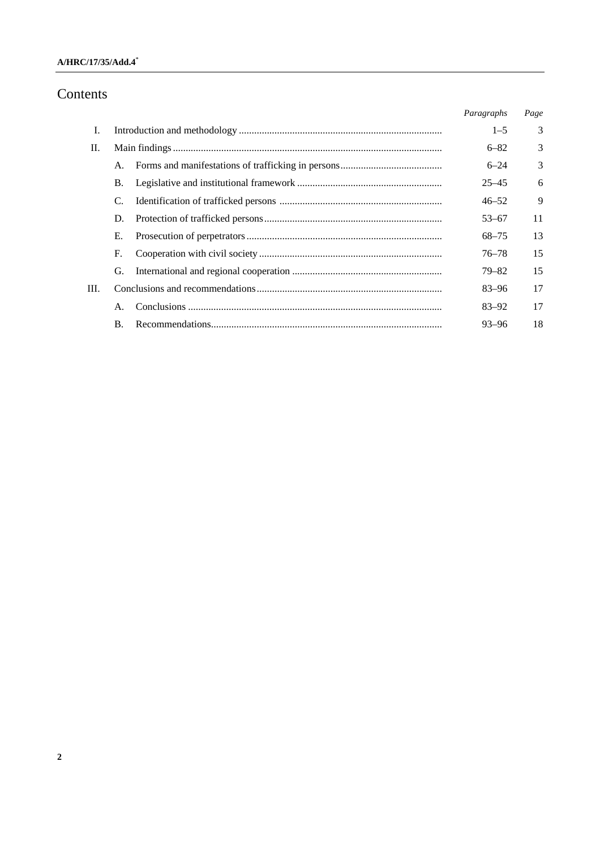## **A/HRC/17/35/Add.4**\*

# Contents

|      |    | Paragraphs | Page |
|------|----|------------|------|
| Ι.   |    | $1 - 5$    | 3    |
| П.   |    | $6 - 82$   | 3    |
|      | A. | $6 - 24$   | 3    |
|      | B. | $25 - 45$  | 6    |
|      | C. | $46 - 52$  | 9    |
|      | D. | $53 - 67$  | 11   |
|      | Е. | 68–75      | 13   |
|      | F. | $76 - 78$  | 15   |
|      | G. | $79 - 82$  | 15   |
| III. |    | 83–96      | 17   |
|      | Α. | $83 - 92$  | 17   |
|      | В. | $93 - 96$  | 18   |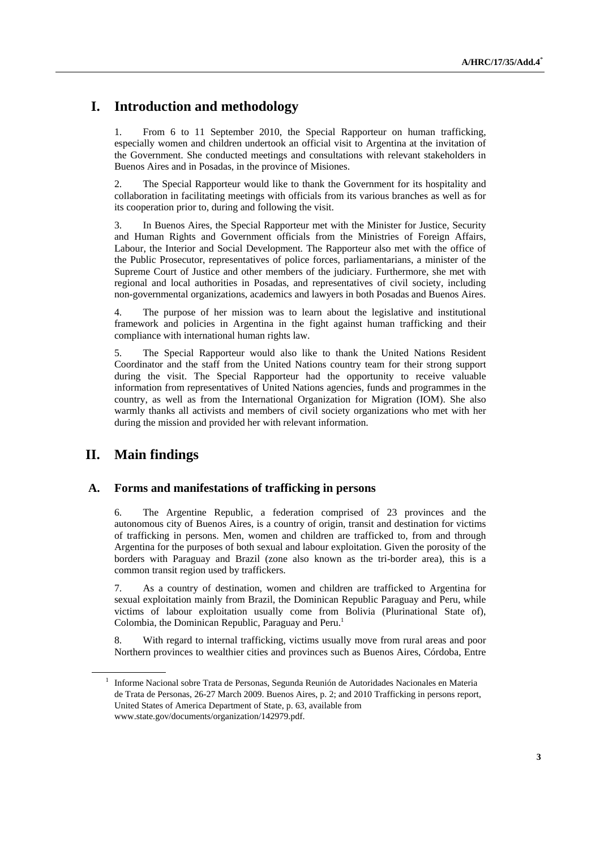# **I. Introduction and methodology**

1. From 6 to 11 September 2010, the Special Rapporteur on human trafficking, especially women and children undertook an official visit to Argentina at the invitation of the Government. She conducted meetings and consultations with relevant stakeholders in Buenos Aires and in Posadas, in the province of Misiones.

2. The Special Rapporteur would like to thank the Government for its hospitality and collaboration in facilitating meetings with officials from its various branches as well as for its cooperation prior to, during and following the visit.

3. In Buenos Aires, the Special Rapporteur met with the Minister for Justice, Security and Human Rights and Government officials from the Ministries of Foreign Affairs, Labour, the Interior and Social Development. The Rapporteur also met with the office of the Public Prosecutor, representatives of police forces, parliamentarians, a minister of the Supreme Court of Justice and other members of the judiciary. Furthermore, she met with regional and local authorities in Posadas, and representatives of civil society, including non-governmental organizations, academics and lawyers in both Posadas and Buenos Aires.

4. The purpose of her mission was to learn about the legislative and institutional framework and policies in Argentina in the fight against human trafficking and their compliance with international human rights law.

5. The Special Rapporteur would also like to thank the United Nations Resident Coordinator and the staff from the United Nations country team for their strong support during the visit. The Special Rapporteur had the opportunity to receive valuable information from representatives of United Nations agencies, funds and programmes in the country, as well as from the International Organization for Migration (IOM). She also warmly thanks all activists and members of civil society organizations who met with her during the mission and provided her with relevant information.

## **II. Main findings**

#### **A. Forms and manifestations of trafficking in persons**

6. The Argentine Republic, a federation comprised of 23 provinces and the autonomous city of Buenos Aires, is a country of origin, transit and destination for victims of trafficking in persons. Men, women and children are trafficked to, from and through Argentina for the purposes of both sexual and labour exploitation. Given the porosity of the borders with Paraguay and Brazil (zone also known as the tri-border area), this is a common transit region used by traffickers.

7. As a country of destination, women and children are trafficked to Argentina for sexual exploitation mainly from Brazil, the Dominican Republic Paraguay and Peru, while victims of labour exploitation usually come from Bolivia (Plurinational State of), Colombia, the Dominican Republic, Paraguay and Peru.<sup>1</sup>

8. With regard to internal trafficking, victims usually move from rural areas and poor Northern provinces to wealthier cities and provinces such as Buenos Aires, Córdoba, Entre

<sup>1</sup> Informe Nacional sobre Trata de Personas, Segunda Reunión de Autoridades Nacionales en Materia de Trata de Personas, 26-27 March 2009. Buenos Aires, p. 2; and 2010 Trafficking in persons report, United States of America Department of State, p. 63, available from www.state.gov/documents/organization/142979.pdf.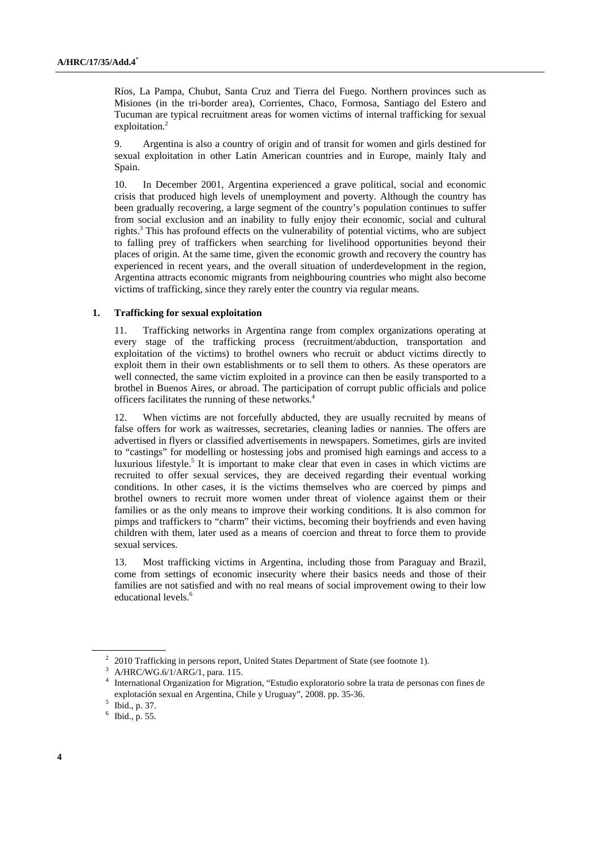Ríos, La Pampa, Chubut, Santa Cruz and Tierra del Fuego. Northern provinces such as Misiones (in the tri-border area), Corrientes, Chaco, Formosa, Santiago del Estero and Tucuman are typical recruitment areas for women victims of internal trafficking for sexual exploitation.<sup>2</sup>

9. Argentina is also a country of origin and of transit for women and girls destined for sexual exploitation in other Latin American countries and in Europe, mainly Italy and Spain.

10. In December 2001, Argentina experienced a grave political, social and economic crisis that produced high levels of unemployment and poverty. Although the country has been gradually recovering, a large segment of the country's population continues to suffer from social exclusion and an inability to fully enjoy their economic, social and cultural rights.3 This has profound effects on the vulnerability of potential victims, who are subject to falling prey of traffickers when searching for livelihood opportunities beyond their places of origin. At the same time, given the economic growth and recovery the country has experienced in recent years, and the overall situation of underdevelopment in the region, Argentina attracts economic migrants from neighbouring countries who might also become victims of trafficking, since they rarely enter the country via regular means.

#### **1. Trafficking for sexual exploitation**

11. Trafficking networks in Argentina range from complex organizations operating at every stage of the trafficking process (recruitment/abduction, transportation and exploitation of the victims) to brothel owners who recruit or abduct victims directly to exploit them in their own establishments or to sell them to others. As these operators are well connected, the same victim exploited in a province can then be easily transported to a brothel in Buenos Aires, or abroad. The participation of corrupt public officials and police officers facilitates the running of these networks.<sup>4</sup>

12. When victims are not forcefully abducted, they are usually recruited by means of false offers for work as waitresses, secretaries, cleaning ladies or nannies. The offers are advertised in flyers or classified advertisements in newspapers. Sometimes, girls are invited to "castings" for modelling or hostessing jobs and promised high earnings and access to a luxurious lifestyle.<sup>5</sup> It is important to make clear that even in cases in which victims are recruited to offer sexual services, they are deceived regarding their eventual working conditions. In other cases, it is the victims themselves who are coerced by pimps and brothel owners to recruit more women under threat of violence against them or their families or as the only means to improve their working conditions. It is also common for pimps and traffickers to "charm" their victims, becoming their boyfriends and even having children with them, later used as a means of coercion and threat to force them to provide sexual services.

13. Most trafficking victims in Argentina, including those from Paraguay and Brazil, come from settings of economic insecurity where their basics needs and those of their families are not satisfied and with no real means of social improvement owing to their low educational levels.<sup>6</sup>

<sup>&</sup>lt;sup>2</sup> 2010 Trafficking in persons report, United States Department of State (see footnote 1).<br><sup>3</sup> A/HBC/WG 6/1/ABG/1, pers. 115

 $^3$  A/HRC/WG.6/1/ARG/1, para. 115.

<sup>4</sup> International Organization for Migration, "Estudio exploratorio sobre la trata de personas con fines de explotación sexual en Argentina, Chile y Uruguay", 2008. pp. 35-36.

 $5$  Ibid., p. 37.

 $6$  Ibid., p. 55.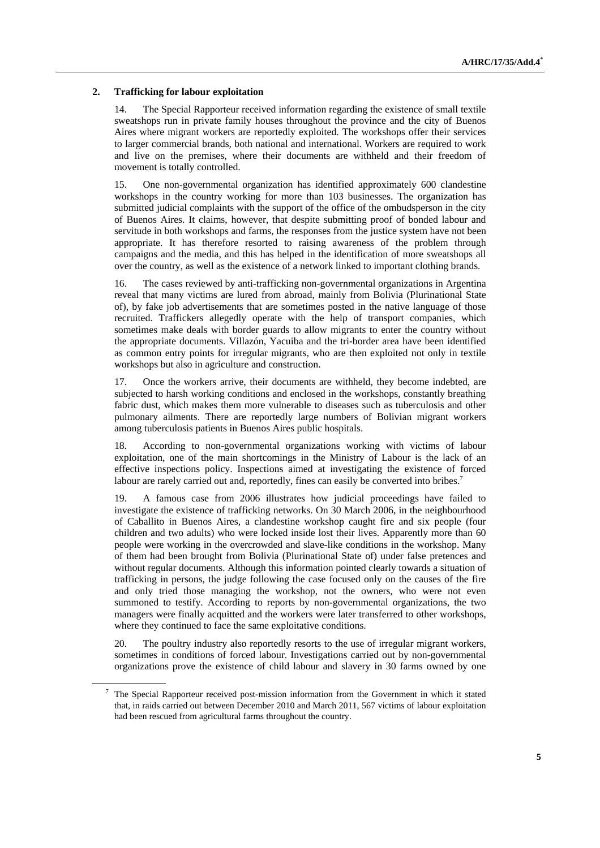#### **2. Trafficking for labour exploitation**

14. The Special Rapporteur received information regarding the existence of small textile sweatshops run in private family houses throughout the province and the city of Buenos Aires where migrant workers are reportedly exploited. The workshops offer their services to larger commercial brands, both national and international. Workers are required to work and live on the premises, where their documents are withheld and their freedom of movement is totally controlled.

15. One non-governmental organization has identified approximately 600 clandestine workshops in the country working for more than 103 businesses. The organization has submitted judicial complaints with the support of the office of the ombudsperson in the city of Buenos Aires. It claims, however, that despite submitting proof of bonded labour and servitude in both workshops and farms, the responses from the justice system have not been appropriate. It has therefore resorted to raising awareness of the problem through campaigns and the media, and this has helped in the identification of more sweatshops all over the country, as well as the existence of a network linked to important clothing brands.

16. The cases reviewed by anti-trafficking non-governmental organizations in Argentina reveal that many victims are lured from abroad, mainly from Bolivia (Plurinational State of), by fake job advertisements that are sometimes posted in the native language of those recruited. Traffickers allegedly operate with the help of transport companies, which sometimes make deals with border guards to allow migrants to enter the country without the appropriate documents. Villazón, Yacuiba and the tri-border area have been identified as common entry points for irregular migrants, who are then exploited not only in textile workshops but also in agriculture and construction.

17. Once the workers arrive, their documents are withheld, they become indebted, are subjected to harsh working conditions and enclosed in the workshops, constantly breathing fabric dust, which makes them more vulnerable to diseases such as tuberculosis and other pulmonary ailments. There are reportedly large numbers of Bolivian migrant workers among tuberculosis patients in Buenos Aires public hospitals.

18. According to non-governmental organizations working with victims of labour exploitation, one of the main shortcomings in the Ministry of Labour is the lack of an effective inspections policy. Inspections aimed at investigating the existence of forced labour are rarely carried out and, reportedly, fines can easily be converted into bribes.<sup>7</sup>

19. A famous case from 2006 illustrates how judicial proceedings have failed to investigate the existence of trafficking networks. On 30 March 2006, in the neighbourhood of Caballito in Buenos Aires, a clandestine workshop caught fire and six people (four children and two adults) who were locked inside lost their lives. Apparently more than 60 people were working in the overcrowded and slave-like conditions in the workshop. Many of them had been brought from Bolivia (Plurinational State of) under false pretences and without regular documents. Although this information pointed clearly towards a situation of trafficking in persons, the judge following the case focused only on the causes of the fire and only tried those managing the workshop, not the owners, who were not even summoned to testify. According to reports by non-governmental organizations, the two managers were finally acquitted and the workers were later transferred to other workshops, where they continued to face the same exploitative conditions.

20. The poultry industry also reportedly resorts to the use of irregular migrant workers, sometimes in conditions of forced labour. Investigations carried out by non-governmental organizations prove the existence of child labour and slavery in 30 farms owned by one

 $7$  The Special Rapporteur received post-mission information from the Government in which it stated that, in raids carried out between December 2010 and March 2011, 567 victims of labour exploitation had been rescued from agricultural farms throughout the country.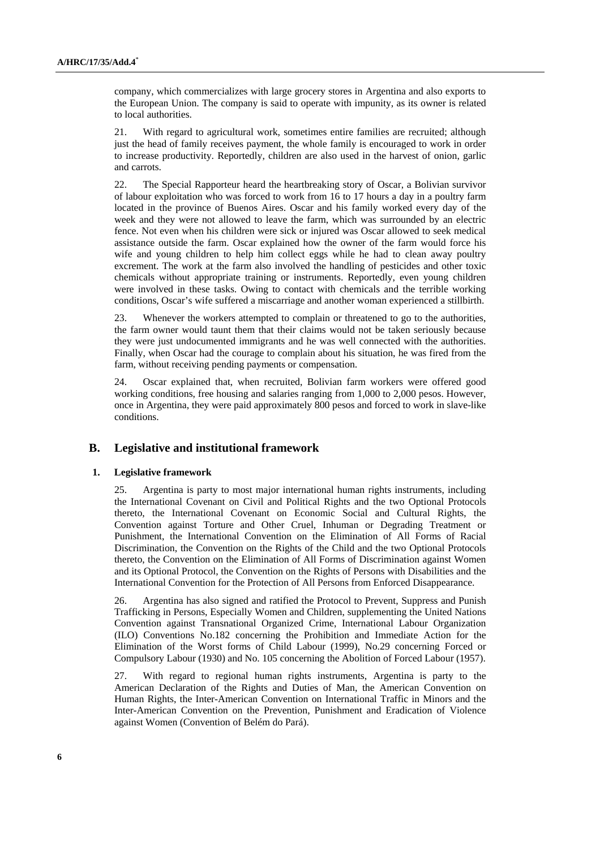company, which commercializes with large grocery stores in Argentina and also exports to the European Union. The company is said to operate with impunity, as its owner is related to local authorities.

21. With regard to agricultural work, sometimes entire families are recruited; although just the head of family receives payment, the whole family is encouraged to work in order to increase productivity. Reportedly, children are also used in the harvest of onion, garlic and carrots.

22. The Special Rapporteur heard the heartbreaking story of Oscar, a Bolivian survivor of labour exploitation who was forced to work from 16 to 17 hours a day in a poultry farm located in the province of Buenos Aires. Oscar and his family worked every day of the week and they were not allowed to leave the farm, which was surrounded by an electric fence. Not even when his children were sick or injured was Oscar allowed to seek medical assistance outside the farm. Oscar explained how the owner of the farm would force his wife and young children to help him collect eggs while he had to clean away poultry excrement. The work at the farm also involved the handling of pesticides and other toxic chemicals without appropriate training or instruments. Reportedly, even young children were involved in these tasks. Owing to contact with chemicals and the terrible working conditions, Oscar's wife suffered a miscarriage and another woman experienced a stillbirth.

23. Whenever the workers attempted to complain or threatened to go to the authorities, the farm owner would taunt them that their claims would not be taken seriously because they were just undocumented immigrants and he was well connected with the authorities. Finally, when Oscar had the courage to complain about his situation, he was fired from the farm, without receiving pending payments or compensation.

24. Oscar explained that, when recruited, Bolivian farm workers were offered good working conditions, free housing and salaries ranging from 1,000 to 2,000 pesos. However, once in Argentina, they were paid approximately 800 pesos and forced to work in slave-like conditions.

## **B. Legislative and institutional framework**

#### **1. Legislative framework**

25. Argentina is party to most major international human rights instruments, including the International Covenant on Civil and Political Rights and the two Optional Protocols thereto, the International Covenant on Economic Social and Cultural Rights, the Convention against Torture and Other Cruel, Inhuman or Degrading Treatment or Punishment, the International Convention on the Elimination of All Forms of Racial Discrimination, the Convention on the Rights of the Child and the two Optional Protocols thereto, the Convention on the Elimination of All Forms of Discrimination against Women and its Optional Protocol, the Convention on the Rights of Persons with Disabilities and the International Convention for the Protection of All Persons from Enforced Disappearance.

26. Argentina has also signed and ratified the Protocol to Prevent, Suppress and Punish Trafficking in Persons, Especially Women and Children, supplementing the United Nations Convention against Transnational Organized Crime, International Labour Organization (ILO) Conventions No.182 concerning the Prohibition and Immediate Action for the Elimination of the Worst forms of Child Labour (1999), No.29 concerning Forced or Compulsory Labour (1930) and No. 105 concerning the Abolition of Forced Labour (1957).

27. With regard to regional human rights instruments, Argentina is party to the American Declaration of the Rights and Duties of Man, the American Convention on Human Rights, the Inter-American Convention on International Traffic in Minors and the Inter-American Convention on the Prevention, Punishment and Eradication of Violence against Women (Convention of Belém do Pará).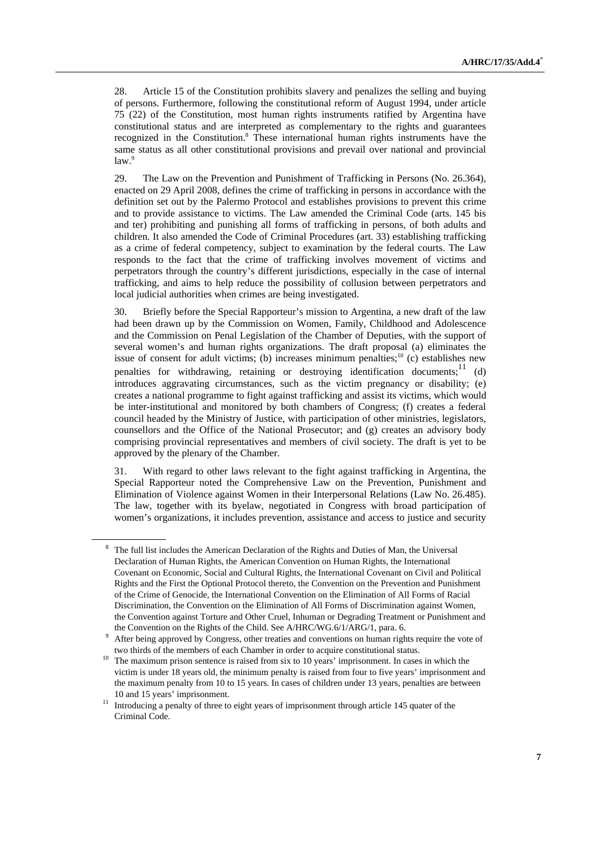28. Article 15 of the Constitution prohibits slavery and penalizes the selling and buying of persons. Furthermore, following the constitutional reform of August 1994, under article 75 (22) of the Constitution, most human rights instruments ratified by Argentina have constitutional status and are interpreted as complementary to the rights and guarantees recognized in the Constitution.<sup>8</sup> These international human rights instruments have the same status as all other constitutional provisions and prevail over national and provincial law.<sup>9</sup>

29. The Law on the Prevention and Punishment of Trafficking in Persons (No. 26.364), enacted on 29 April 2008, defines the crime of trafficking in persons in accordance with the definition set out by the Palermo Protocol and establishes provisions to prevent this crime and to provide assistance to victims. The Law amended the Criminal Code (arts. 145 bis and ter) prohibiting and punishing all forms of trafficking in persons, of both adults and children. It also amended the Code of Criminal Procedures (art. 33) establishing trafficking as a crime of federal competency, subject to examination by the federal courts. The Law responds to the fact that the crime of trafficking involves movement of victims and perpetrators through the country's different jurisdictions, especially in the case of internal trafficking, and aims to help reduce the possibility of collusion between perpetrators and local judicial authorities when crimes are being investigated.

30. Briefly before the Special Rapporteur's mission to Argentina, a new draft of the law had been drawn up by the Commission on Women, Family, Childhood and Adolescence and the Commission on Penal Legislation of the Chamber of Deputies, with the support of several women's and human rights organizations. The draft proposal (a) eliminates the issue of consent for adult victims; (b) increases minimum penalties;<sup>10</sup> (c) establishes new penalties for withdrawing, retaining or destroying identification documents;<sup>11</sup> (d) introduces aggravating circumstances, such as the victim pregnancy or disability; (e) creates a national programme to fight against trafficking and assist its victims, which would be inter-institutional and monitored by both chambers of Congress; (f) creates a federal council headed by the Ministry of Justice, with participation of other ministries, legislators, counsellors and the Office of the National Prosecutor; and (g) creates an advisory body comprising provincial representatives and members of civil society. The draft is yet to be approved by the plenary of the Chamber.

31. With regard to other laws relevant to the fight against trafficking in Argentina, the Special Rapporteur noted the Comprehensive Law on the Prevention, Punishment and Elimination of Violence against Women in their Interpersonal Relations (Law No. 26.485). The law, together with its byelaw, negotiated in Congress with broad participation of women's organizations, it includes prevention, assistance and access to justice and security

 <sup>8</sup> The full list includes the American Declaration of the Rights and Duties of Man, the Universal Declaration of Human Rights, the American Convention on Human Rights, the International Covenant on Economic, Social and Cultural Rights, the International Covenant on Civil and Political Rights and the First the Optional Protocol thereto, the Convention on the Prevention and Punishment of the Crime of Genocide, the International Convention on the Elimination of All Forms of Racial Discrimination, the Convention on the Elimination of All Forms of Discrimination against Women, the Convention against Torture and Other Cruel, Inhuman or Degrading Treatment or Punishment and the Convention on the Rights of the Child. See A/HRC/WG.6/1/ARG/1, para. 6.

After being approved by Congress, other treaties and conventions on human rights require the vote of

two thirds of the members of each Chamber in order to acquire constitutional status.<br><sup>10</sup> The maximum prison sentence is raised from six to 10 years' imprisonment. In cases in which the victim is under 18 years old, the minimum penalty is raised from four to five years' imprisonment and the maximum penalty from 10 to 15 years. In cases of children under 13 years, penalties are between 10 and 15 years' imprisonment. 11 Introducing a penalty of three to eight years of imprisonment through article 145 quater of the

Criminal Code.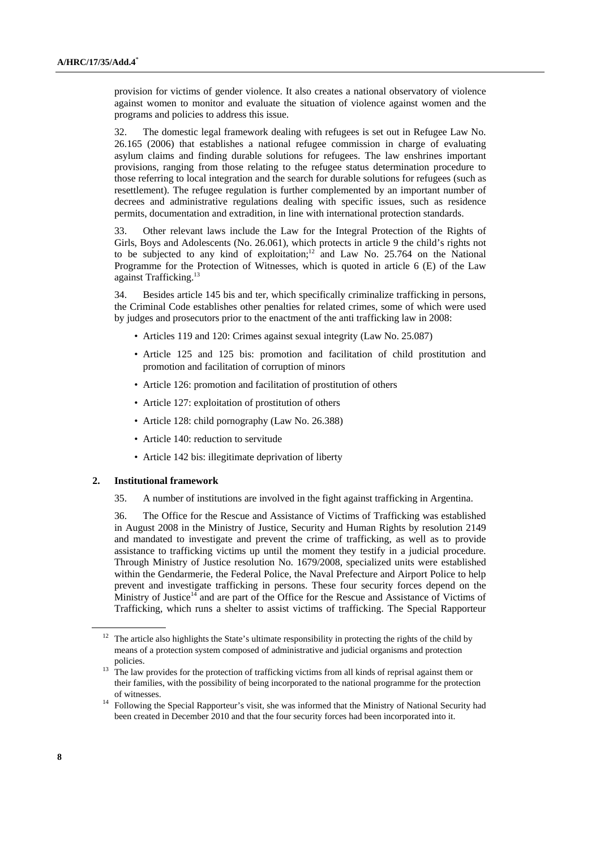provision for victims of gender violence. It also creates a national observatory of violence against women to monitor and evaluate the situation of violence against women and the programs and policies to address this issue.

32. The domestic legal framework dealing with refugees is set out in Refugee Law No. 26.165 (2006) that establishes a national refugee commission in charge of evaluating asylum claims and finding durable solutions for refugees. The law enshrines important provisions, ranging from those relating to the refugee status determination procedure to those referring to local integration and the search for durable solutions for refugees (such as resettlement). The refugee regulation is further complemented by an important number of decrees and administrative regulations dealing with specific issues, such as residence permits, documentation and extradition, in line with international protection standards.

33. Other relevant laws include the Law for the Integral Protection of the Rights of Girls, Boys and Adolescents (No. 26.061), which protects in article 9 the child's rights not to be subjected to any kind of exploitation;<sup>12</sup> and Law No. 25.764 on the National Programme for the Protection of Witnesses, which is quoted in article 6 (E) of the Law against Trafficking.<sup>13</sup>

34. Besides article 145 bis and ter, which specifically criminalize trafficking in persons, the Criminal Code establishes other penalties for related crimes, some of which were used by judges and prosecutors prior to the enactment of the anti trafficking law in 2008:

- Articles 119 and 120: Crimes against sexual integrity (Law No. 25.087)
- Article 125 and 125 bis: promotion and facilitation of child prostitution and promotion and facilitation of corruption of minors
- Article 126: promotion and facilitation of prostitution of others
- Article 127: exploitation of prostitution of others
- Article 128: child pornography (Law No. 26.388)
- Article 140: reduction to servitude
- Article 142 bis: illegitimate deprivation of liberty

#### **2. Institutional framework**

35. A number of institutions are involved in the fight against trafficking in Argentina.

36. The Office for the Rescue and Assistance of Victims of Trafficking was established in August 2008 in the Ministry of Justice, Security and Human Rights by resolution 2149 and mandated to investigate and prevent the crime of trafficking, as well as to provide assistance to trafficking victims up until the moment they testify in a judicial procedure. Through Ministry of Justice resolution No. 1679/2008, specialized units were established within the Gendarmerie, the Federal Police, the Naval Prefecture and Airport Police to help prevent and investigate trafficking in persons. These four security forces depend on the Ministry of Justice<sup>14</sup> and are part of the Office for the Rescue and Assistance of Victims of Trafficking, which runs a shelter to assist victims of trafficking. The Special Rapporteur

<sup>&</sup>lt;sup>12</sup> The article also highlights the State's ultimate responsibility in protecting the rights of the child by means of a protection system composed of administrative and judicial organisms and protection

policies. 13 The law provides for the protection of trafficking victims from all kinds of reprisal against them or their families, with the possibility of being incorporated to the national programme for the protection

of witnesses.<br><sup>14</sup> Following the Special Rapporteur's visit, she was informed that the Ministry of National Security had been created in December 2010 and that the four security forces had been incorporated into it.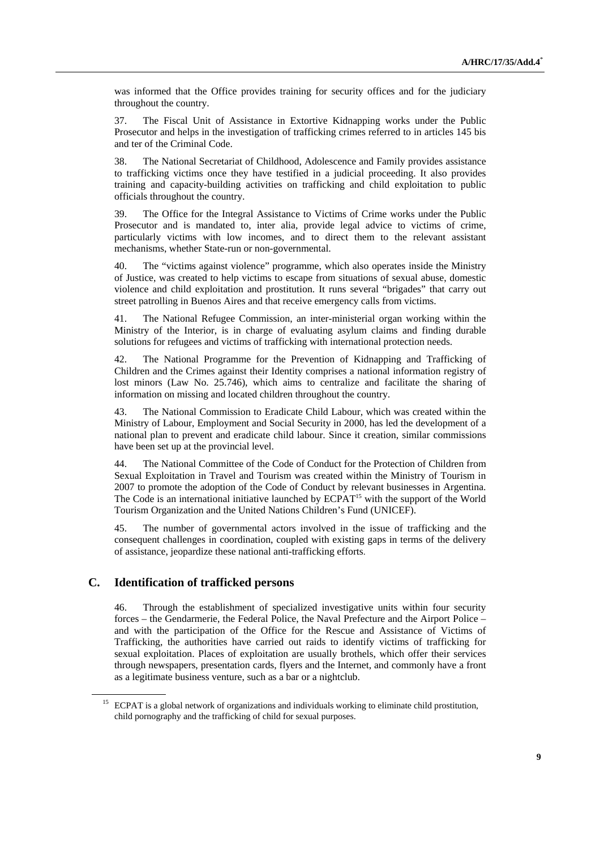was informed that the Office provides training for security offices and for the judiciary throughout the country.

37. The Fiscal Unit of Assistance in Extortive Kidnapping works under the Public Prosecutor and helps in the investigation of trafficking crimes referred to in articles 145 bis and ter of the Criminal Code.

38. The National Secretariat of Childhood, Adolescence and Family provides assistance to trafficking victims once they have testified in a judicial proceeding. It also provides training and capacity-building activities on trafficking and child exploitation to public officials throughout the country.

39. The Office for the Integral Assistance to Victims of Crime works under the Public Prosecutor and is mandated to, inter alia, provide legal advice to victims of crime, particularly victims with low incomes, and to direct them to the relevant assistant mechanisms, whether State-run or non-governmental.

40. The "victims against violence" programme, which also operates inside the Ministry of Justice, was created to help victims to escape from situations of sexual abuse, domestic violence and child exploitation and prostitution. It runs several "brigades" that carry out street patrolling in Buenos Aires and that receive emergency calls from victims.

41. The National Refugee Commission, an inter-ministerial organ working within the Ministry of the Interior, is in charge of evaluating asylum claims and finding durable solutions for refugees and victims of trafficking with international protection needs.

42. The National Programme for the Prevention of Kidnapping and Trafficking of Children and the Crimes against their Identity comprises a national information registry of lost minors (Law No. 25.746), which aims to centralize and facilitate the sharing of information on missing and located children throughout the country.

43. The National Commission to Eradicate Child Labour, which was created within the Ministry of Labour, Employment and Social Security in 2000, has led the development of a national plan to prevent and eradicate child labour. Since it creation, similar commissions have been set up at the provincial level.

44. The National Committee of the Code of Conduct for the Protection of Children from Sexual Exploitation in Travel and Tourism was created within the Ministry of Tourism in 2007 to promote the adoption of the Code of Conduct by relevant businesses in Argentina. The Code is an international initiative launched by ECPAT<sup>15</sup> with the support of the World Tourism Organization and the United Nations Children's Fund (UNICEF).

45. The number of governmental actors involved in the issue of trafficking and the consequent challenges in coordination, coupled with existing gaps in terms of the delivery of assistance, jeopardize these national anti-trafficking efforts.

## **C. Identification of trafficked persons**

46. Through the establishment of specialized investigative units within four security forces – the Gendarmerie, the Federal Police, the Naval Prefecture and the Airport Police – and with the participation of the Office for the Rescue and Assistance of Victims of Trafficking, the authorities have carried out raids to identify victims of trafficking for sexual exploitation. Places of exploitation are usually brothels, which offer their services through newspapers, presentation cards, flyers and the Internet, and commonly have a front as a legitimate business venture, such as a bar or a nightclub.

<sup>&</sup>lt;sup>15</sup> ECPAT is a global network of organizations and individuals working to eliminate child prostitution, child pornography and the trafficking of child for sexual purposes.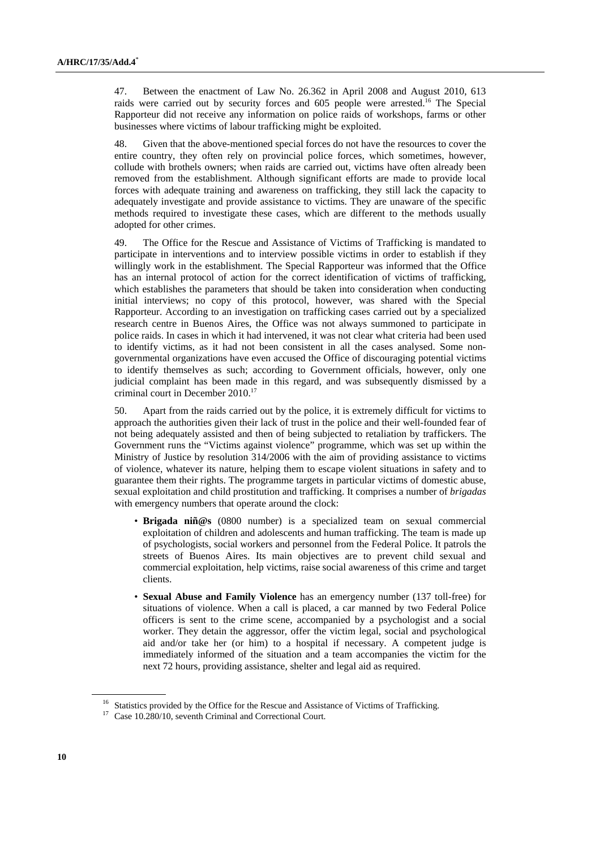47. Between the enactment of Law No. 26.362 in April 2008 and August 2010, 613 raids were carried out by security forces and 605 people were arrested.<sup>16</sup> The Special Rapporteur did not receive any information on police raids of workshops, farms or other businesses where victims of labour trafficking might be exploited.

48. Given that the above-mentioned special forces do not have the resources to cover the entire country, they often rely on provincial police forces, which sometimes, however, collude with brothels owners; when raids are carried out, victims have often already been removed from the establishment. Although significant efforts are made to provide local forces with adequate training and awareness on trafficking, they still lack the capacity to adequately investigate and provide assistance to victims. They are unaware of the specific methods required to investigate these cases, which are different to the methods usually adopted for other crimes.

49. The Office for the Rescue and Assistance of Victims of Trafficking is mandated to participate in interventions and to interview possible victims in order to establish if they willingly work in the establishment. The Special Rapporteur was informed that the Office has an internal protocol of action for the correct identification of victims of trafficking, which establishes the parameters that should be taken into consideration when conducting initial interviews; no copy of this protocol, however, was shared with the Special Rapporteur. According to an investigation on trafficking cases carried out by a specialized research centre in Buenos Aires, the Office was not always summoned to participate in police raids. In cases in which it had intervened, it was not clear what criteria had been used to identify victims, as it had not been consistent in all the cases analysed. Some nongovernmental organizations have even accused the Office of discouraging potential victims to identify themselves as such; according to Government officials, however, only one judicial complaint has been made in this regard, and was subsequently dismissed by a criminal court in December 2010.17

50. Apart from the raids carried out by the police, it is extremely difficult for victims to approach the authorities given their lack of trust in the police and their well-founded fear of not being adequately assisted and then of being subjected to retaliation by traffickers. The Government runs the "Victims against violence" programme, which was set up within the Ministry of Justice by resolution 314/2006 with the aim of providing assistance to victims of violence, whatever its nature, helping them to escape violent situations in safety and to guarantee them their rights. The programme targets in particular victims of domestic abuse, sexual exploitation and child prostitution and trafficking. It comprises a number of *brigadas* with emergency numbers that operate around the clock:

- **Brigada niñ@s** (0800 number) is a specialized team on sexual commercial exploitation of children and adolescents and human trafficking. The team is made up of psychologists, social workers and personnel from the Federal Police. It patrols the streets of Buenos Aires. Its main objectives are to prevent child sexual and commercial exploitation, help victims, raise social awareness of this crime and target clients.
- **Sexual Abuse and Family Violence** has an emergency number (137 toll-free) for situations of violence. When a call is placed, a car manned by two Federal Police officers is sent to the crime scene, accompanied by a psychologist and a social worker. They detain the aggressor, offer the victim legal, social and psychological aid and/or take her (or him) to a hospital if necessary. A competent judge is immediately informed of the situation and a team accompanies the victim for the next 72 hours, providing assistance, shelter and legal aid as required.

<sup>&</sup>lt;sup>16</sup> Statistics provided by the Office for the Rescue and Assistance of Victims of Trafficking.<br><sup>17</sup> Case 10.280/10, seventh Criminal and Correctional Court.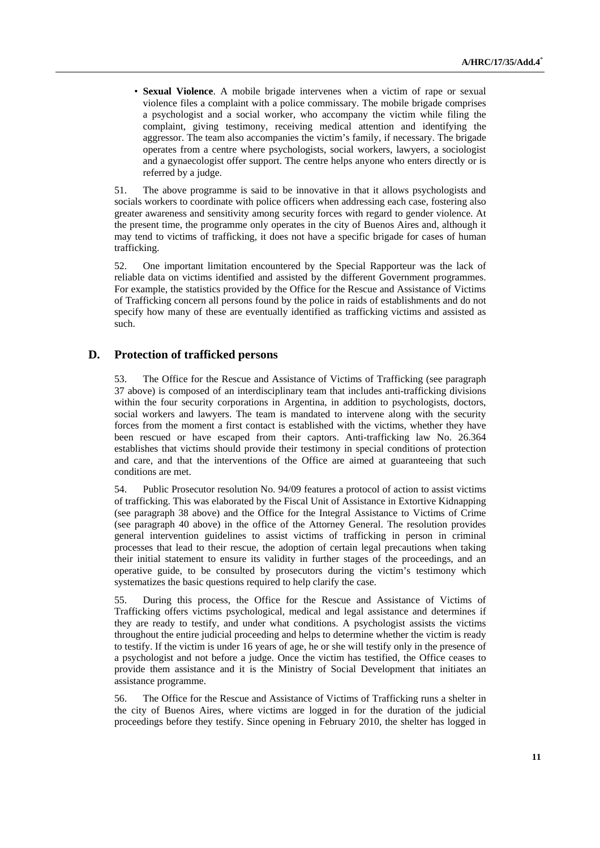• **Sexual Violence**. A mobile brigade intervenes when a victim of rape or sexual violence files a complaint with a police commissary. The mobile brigade comprises a psychologist and a social worker, who accompany the victim while filing the complaint, giving testimony, receiving medical attention and identifying the aggressor. The team also accompanies the victim's family, if necessary. The brigade operates from a centre where psychologists, social workers, lawyers, a sociologist and a gynaecologist offer support. The centre helps anyone who enters directly or is referred by a judge.

51. The above programme is said to be innovative in that it allows psychologists and socials workers to coordinate with police officers when addressing each case, fostering also greater awareness and sensitivity among security forces with regard to gender violence. At the present time, the programme only operates in the city of Buenos Aires and, although it may tend to victims of trafficking, it does not have a specific brigade for cases of human trafficking.

52. One important limitation encountered by the Special Rapporteur was the lack of reliable data on victims identified and assisted by the different Government programmes. For example, the statistics provided by the Office for the Rescue and Assistance of Victims of Trafficking concern all persons found by the police in raids of establishments and do not specify how many of these are eventually identified as trafficking victims and assisted as such.

## **D. Protection of trafficked persons**

53. The Office for the Rescue and Assistance of Victims of Trafficking (see paragraph 37 above) is composed of an interdisciplinary team that includes anti-trafficking divisions within the four security corporations in Argentina, in addition to psychologists, doctors, social workers and lawyers. The team is mandated to intervene along with the security forces from the moment a first contact is established with the victims, whether they have been rescued or have escaped from their captors. Anti-trafficking law No. 26.364 establishes that victims should provide their testimony in special conditions of protection and care, and that the interventions of the Office are aimed at guaranteeing that such conditions are met.

54. Public Prosecutor resolution No. 94/09 features a protocol of action to assist victims of trafficking. This was elaborated by the Fiscal Unit of Assistance in Extortive Kidnapping (see paragraph 38 above) and the Office for the Integral Assistance to Victims of Crime (see paragraph 40 above) in the office of the Attorney General. The resolution provides general intervention guidelines to assist victims of trafficking in person in criminal processes that lead to their rescue, the adoption of certain legal precautions when taking their initial statement to ensure its validity in further stages of the proceedings, and an operative guide, to be consulted by prosecutors during the victim's testimony which systematizes the basic questions required to help clarify the case.

55. During this process, the Office for the Rescue and Assistance of Victims of Trafficking offers victims psychological, medical and legal assistance and determines if they are ready to testify, and under what conditions. A psychologist assists the victims throughout the entire judicial proceeding and helps to determine whether the victim is ready to testify. If the victim is under 16 years of age, he or she will testify only in the presence of a psychologist and not before a judge. Once the victim has testified, the Office ceases to provide them assistance and it is the Ministry of Social Development that initiates an assistance programme.

56. The Office for the Rescue and Assistance of Victims of Trafficking runs a shelter in the city of Buenos Aires, where victims are logged in for the duration of the judicial proceedings before they testify. Since opening in February 2010, the shelter has logged in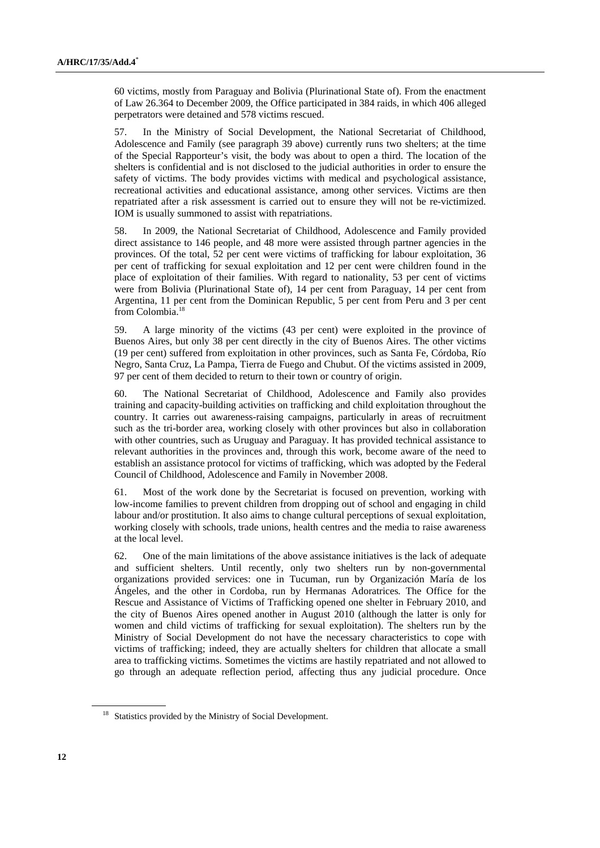60 victims, mostly from Paraguay and Bolivia (Plurinational State of). From the enactment of Law 26.364 to December 2009, the Office participated in 384 raids, in which 406 alleged perpetrators were detained and 578 victims rescued.

57. In the Ministry of Social Development, the National Secretariat of Childhood, Adolescence and Family (see paragraph 39 above) currently runs two shelters; at the time of the Special Rapporteur's visit, the body was about to open a third. The location of the shelters is confidential and is not disclosed to the judicial authorities in order to ensure the safety of victims. The body provides victims with medical and psychological assistance, recreational activities and educational assistance, among other services. Victims are then repatriated after a risk assessment is carried out to ensure they will not be re-victimized. IOM is usually summoned to assist with repatriations.

58. In 2009, the National Secretariat of Childhood, Adolescence and Family provided direct assistance to 146 people, and 48 more were assisted through partner agencies in the provinces. Of the total, 52 per cent were victims of trafficking for labour exploitation, 36 per cent of trafficking for sexual exploitation and 12 per cent were children found in the place of exploitation of their families. With regard to nationality, 53 per cent of victims were from Bolivia (Plurinational State of), 14 per cent from Paraguay, 14 per cent from Argentina, 11 per cent from the Dominican Republic, 5 per cent from Peru and 3 per cent from Colombia.18

59. A large minority of the victims (43 per cent) were exploited in the province of Buenos Aires, but only 38 per cent directly in the city of Buenos Aires. The other victims (19 per cent) suffered from exploitation in other provinces, such as Santa Fe, Córdoba, Río Negro, Santa Cruz, La Pampa, Tierra de Fuego and Chubut. Of the victims assisted in 2009, 97 per cent of them decided to return to their town or country of origin.

60. The National Secretariat of Childhood, Adolescence and Family also provides training and capacity-building activities on trafficking and child exploitation throughout the country. It carries out awareness-raising campaigns, particularly in areas of recruitment such as the tri-border area, working closely with other provinces but also in collaboration with other countries, such as Uruguay and Paraguay. It has provided technical assistance to relevant authorities in the provinces and, through this work, become aware of the need to establish an assistance protocol for victims of trafficking, which was adopted by the Federal Council of Childhood, Adolescence and Family in November 2008.

61. Most of the work done by the Secretariat is focused on prevention, working with low-income families to prevent children from dropping out of school and engaging in child labour and/or prostitution. It also aims to change cultural perceptions of sexual exploitation, working closely with schools, trade unions, health centres and the media to raise awareness at the local level.

62. One of the main limitations of the above assistance initiatives is the lack of adequate and sufficient shelters. Until recently, only two shelters run by non-governmental organizations provided services: one in Tucuman, run by Organización María de los Ángeles, and the other in Cordoba, run by Hermanas Adoratrices*.* The Office for the Rescue and Assistance of Victims of Trafficking opened one shelter in February 2010, and the city of Buenos Aires opened another in August 2010 (although the latter is only for women and child victims of trafficking for sexual exploitation). The shelters run by the Ministry of Social Development do not have the necessary characteristics to cope with victims of trafficking; indeed, they are actually shelters for children that allocate a small area to trafficking victims. Sometimes the victims are hastily repatriated and not allowed to go through an adequate reflection period, affecting thus any judicial procedure. Once

<sup>&</sup>lt;sup>18</sup> Statistics provided by the Ministry of Social Development.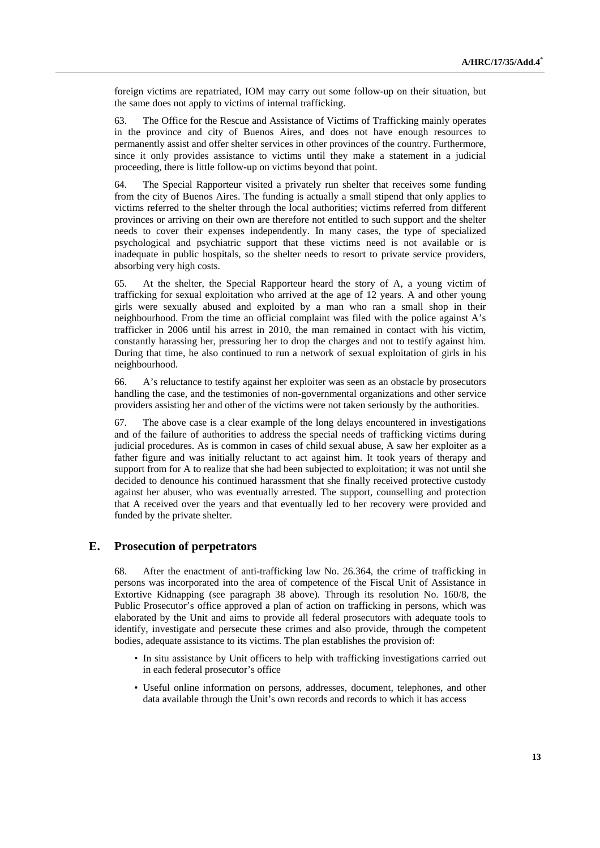foreign victims are repatriated, IOM may carry out some follow-up on their situation, but the same does not apply to victims of internal trafficking.

63. The Office for the Rescue and Assistance of Victims of Trafficking mainly operates in the province and city of Buenos Aires, and does not have enough resources to permanently assist and offer shelter services in other provinces of the country. Furthermore, since it only provides assistance to victims until they make a statement in a judicial proceeding, there is little follow-up on victims beyond that point.

64. The Special Rapporteur visited a privately run shelter that receives some funding from the city of Buenos Aires. The funding is actually a small stipend that only applies to victims referred to the shelter through the local authorities; victims referred from different provinces or arriving on their own are therefore not entitled to such support and the shelter needs to cover their expenses independently. In many cases, the type of specialized psychological and psychiatric support that these victims need is not available or is inadequate in public hospitals, so the shelter needs to resort to private service providers, absorbing very high costs.

65. At the shelter, the Special Rapporteur heard the story of A, a young victim of trafficking for sexual exploitation who arrived at the age of 12 years. A and other young girls were sexually abused and exploited by a man who ran a small shop in their neighbourhood. From the time an official complaint was filed with the police against A's trafficker in 2006 until his arrest in 2010, the man remained in contact with his victim, constantly harassing her, pressuring her to drop the charges and not to testify against him. During that time, he also continued to run a network of sexual exploitation of girls in his neighbourhood.

66. A's reluctance to testify against her exploiter was seen as an obstacle by prosecutors handling the case, and the testimonies of non-governmental organizations and other service providers assisting her and other of the victims were not taken seriously by the authorities.

67. The above case is a clear example of the long delays encountered in investigations and of the failure of authorities to address the special needs of trafficking victims during judicial procedures. As is common in cases of child sexual abuse, A saw her exploiter as a father figure and was initially reluctant to act against him. It took years of therapy and support from for A to realize that she had been subjected to exploitation; it was not until she decided to denounce his continued harassment that she finally received protective custody against her abuser, who was eventually arrested. The support, counselling and protection that A received over the years and that eventually led to her recovery were provided and funded by the private shelter.

## **E. Prosecution of perpetrators**

68. After the enactment of anti-trafficking law No. 26.364, the crime of trafficking in persons was incorporated into the area of competence of the Fiscal Unit of Assistance in Extortive Kidnapping (see paragraph 38 above). Through its resolution No. 160/8, the Public Prosecutor's office approved a plan of action on trafficking in persons, which was elaborated by the Unit and aims to provide all federal prosecutors with adequate tools to identify, investigate and persecute these crimes and also provide, through the competent bodies, adequate assistance to its victims. The plan establishes the provision of:

- In situ assistance by Unit officers to help with trafficking investigations carried out in each federal prosecutor's office
- Useful online information on persons, addresses, document, telephones, and other data available through the Unit's own records and records to which it has access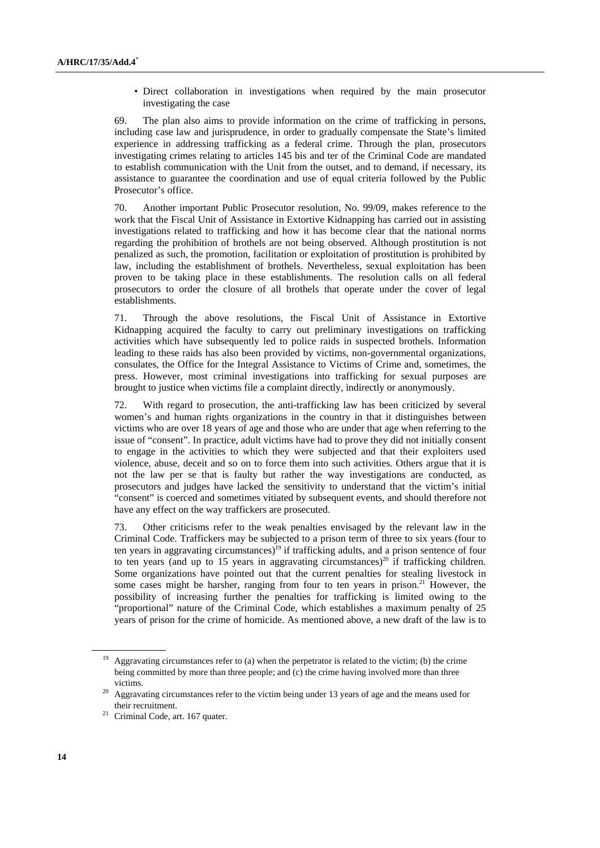• Direct collaboration in investigations when required by the main prosecutor investigating the case

69. The plan also aims to provide information on the crime of trafficking in persons, including case law and jurisprudence, in order to gradually compensate the State's limited experience in addressing trafficking as a federal crime. Through the plan, prosecutors investigating crimes relating to articles 145 bis and ter of the Criminal Code are mandated to establish communication with the Unit from the outset, and to demand, if necessary, its assistance to guarantee the coordination and use of equal criteria followed by the Public Prosecutor's office.

70. Another important Public Prosecutor resolution, No. 99/09, makes reference to the work that the Fiscal Unit of Assistance in Extortive Kidnapping has carried out in assisting investigations related to trafficking and how it has become clear that the national norms regarding the prohibition of brothels are not being observed. Although prostitution is not penalized as such, the promotion, facilitation or exploitation of prostitution is prohibited by law, including the establishment of brothels. Nevertheless, sexual exploitation has been proven to be taking place in these establishments. The resolution calls on all federal prosecutors to order the closure of all brothels that operate under the cover of legal establishments.

71. Through the above resolutions, the Fiscal Unit of Assistance in Extortive Kidnapping acquired the faculty to carry out preliminary investigations on trafficking activities which have subsequently led to police raids in suspected brothels. Information leading to these raids has also been provided by victims, non-governmental organizations, consulates, the Office for the Integral Assistance to Victims of Crime and, sometimes, the press. However, most criminal investigations into trafficking for sexual purposes are brought to justice when victims file a complaint directly, indirectly or anonymously.

72. With regard to prosecution, the anti-trafficking law has been criticized by several women's and human rights organizations in the country in that it distinguishes between victims who are over 18 years of age and those who are under that age when referring to the issue of "consent". In practice, adult victims have had to prove they did not initially consent to engage in the activities to which they were subjected and that their exploiters used violence, abuse, deceit and so on to force them into such activities. Others argue that it is not the law per se that is faulty but rather the way investigations are conducted, as prosecutors and judges have lacked the sensitivity to understand that the victim's initial "consent" is coerced and sometimes vitiated by subsequent events, and should therefore not have any effect on the way traffickers are prosecuted.

73. Other criticisms refer to the weak penalties envisaged by the relevant law in the Criminal Code. Traffickers may be subjected to a prison term of three to six years (four to ten years in aggravating circumstances)<sup>19</sup> if trafficking adults, and a prison sentence of four to ten years (and up to 15 years in aggravating circumstances)<sup>20</sup> if trafficking children. Some organizations have pointed out that the current penalties for stealing livestock in some cases might be harsher, ranging from four to ten years in prison.<sup>21</sup> However, the possibility of increasing further the penalties for trafficking is limited owing to the "proportional" nature of the Criminal Code, which establishes a maximum penalty of 25 years of prison for the crime of homicide. As mentioned above, a new draft of the law is to

<sup>&</sup>lt;sup>19</sup> Aggravating circumstances refer to (a) when the perpetrator is related to the victim; (b) the crime being committed by more than three people; and (c) the crime having involved more than three

victims. 20 Aggravating circumstances refer to the victim being under 13 years of age and the means used for

their recruitment.<br><sup>21</sup> Criminal Code, art. 167 quater.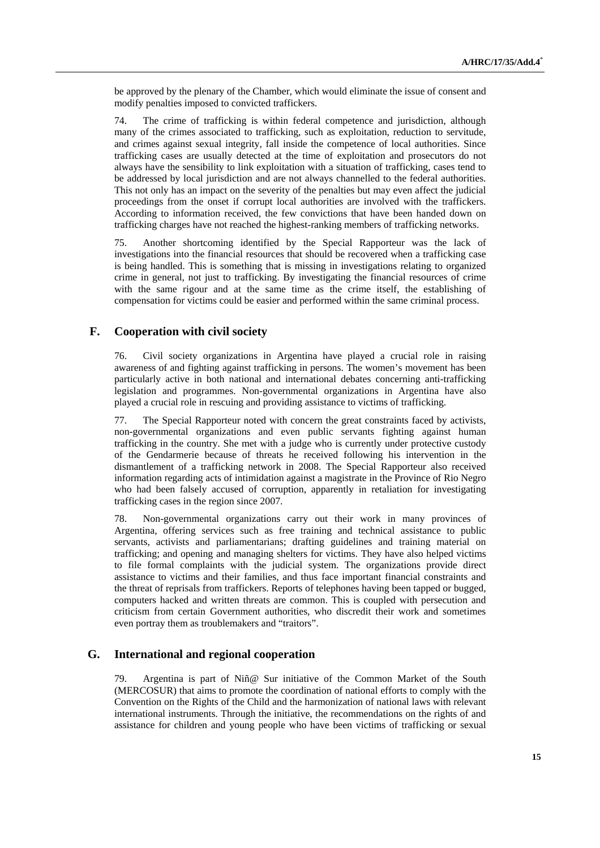be approved by the plenary of the Chamber, which would eliminate the issue of consent and modify penalties imposed to convicted traffickers.

74. The crime of trafficking is within federal competence and jurisdiction, although many of the crimes associated to trafficking, such as exploitation, reduction to servitude, and crimes against sexual integrity, fall inside the competence of local authorities. Since trafficking cases are usually detected at the time of exploitation and prosecutors do not always have the sensibility to link exploitation with a situation of trafficking, cases tend to be addressed by local jurisdiction and are not always channelled to the federal authorities. This not only has an impact on the severity of the penalties but may even affect the judicial proceedings from the onset if corrupt local authorities are involved with the traffickers. According to information received, the few convictions that have been handed down on trafficking charges have not reached the highest-ranking members of trafficking networks.

75. Another shortcoming identified by the Special Rapporteur was the lack of investigations into the financial resources that should be recovered when a trafficking case is being handled. This is something that is missing in investigations relating to organized crime in general, not just to trafficking. By investigating the financial resources of crime with the same rigour and at the same time as the crime itself, the establishing of compensation for victims could be easier and performed within the same criminal process.

## **F. Cooperation with civil society**

76. Civil society organizations in Argentina have played a crucial role in raising awareness of and fighting against trafficking in persons. The women's movement has been particularly active in both national and international debates concerning anti-trafficking legislation and programmes. Non-governmental organizations in Argentina have also played a crucial role in rescuing and providing assistance to victims of trafficking.

77. The Special Rapporteur noted with concern the great constraints faced by activists, non-governmental organizations and even public servants fighting against human trafficking in the country. She met with a judge who is currently under protective custody of the Gendarmerie because of threats he received following his intervention in the dismantlement of a trafficking network in 2008. The Special Rapporteur also received information regarding acts of intimidation against a magistrate in the Province of Rio Negro who had been falsely accused of corruption, apparently in retaliation for investigating trafficking cases in the region since 2007.

78. Non-governmental organizations carry out their work in many provinces of Argentina, offering services such as free training and technical assistance to public servants, activists and parliamentarians; drafting guidelines and training material on trafficking; and opening and managing shelters for victims. They have also helped victims to file formal complaints with the judicial system. The organizations provide direct assistance to victims and their families, and thus face important financial constraints and the threat of reprisals from traffickers. Reports of telephones having been tapped or bugged, computers hacked and written threats are common. This is coupled with persecution and criticism from certain Government authorities, who discredit their work and sometimes even portray them as troublemakers and "traitors".

### **G. International and regional cooperation**

79. Argentina is part of Niñ@ Sur initiative of the Common Market of the South (MERCOSUR) that aims to promote the coordination of national efforts to comply with the Convention on the Rights of the Child and the harmonization of national laws with relevant international instruments. Through the initiative, the recommendations on the rights of and assistance for children and young people who have been victims of trafficking or sexual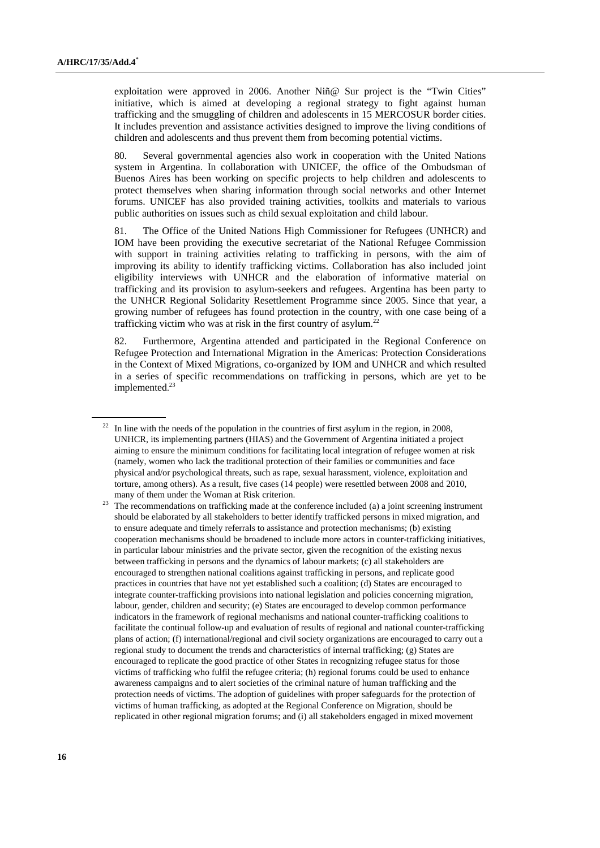exploitation were approved in 2006. Another Niñ@ Sur project is the "Twin Cities" initiative, which is aimed at developing a regional strategy to fight against human trafficking and the smuggling of children and adolescents in 15 MERCOSUR border cities. It includes prevention and assistance activities designed to improve the living conditions of children and adolescents and thus prevent them from becoming potential victims.

80. Several governmental agencies also work in cooperation with the United Nations system in Argentina. In collaboration with UNICEF, the office of the Ombudsman of Buenos Aires has been working on specific projects to help children and adolescents to protect themselves when sharing information through social networks and other Internet forums. UNICEF has also provided training activities, toolkits and materials to various public authorities on issues such as child sexual exploitation and child labour.

81. The Office of the United Nations High Commissioner for Refugees (UNHCR) and IOM have been providing the executive secretariat of the National Refugee Commission with support in training activities relating to trafficking in persons, with the aim of improving its ability to identify trafficking victims. Collaboration has also included joint eligibility interviews with UNHCR and the elaboration of informative material on trafficking and its provision to asylum-seekers and refugees. Argentina has been party to the UNHCR Regional Solidarity Resettlement Programme since 2005. Since that year, a growing number of refugees has found protection in the country, with one case being of a trafficking victim who was at risk in the first country of asylum.<sup>22</sup>

82. Furthermore, Argentina attended and participated in the Regional Conference on Refugee Protection and International Migration in the Americas: Protection Considerations in the Context of Mixed Migrations, co-organized by IOM and UNHCR and which resulted in a series of specific recommendations on trafficking in persons, which are yet to be implemented. 23

 $22$  In line with the needs of the population in the countries of first asylum in the region, in 2008, UNHCR, its implementing partners (HIAS) and the Government of Argentina initiated a project aiming to ensure the minimum conditions for facilitating local integration of refugee women at risk (namely, women who lack the traditional protection of their families or communities and face physical and/or psychological threats, such as rape, sexual harassment, violence, exploitation and torture, among others). As a result, five cases (14 people) were resettled between 2008 and 2010,

many of them under the Woman at Risk criterion.<br><sup>23</sup> The recommendations on trafficking made at the conference included (a) a joint screening instrument should be elaborated by all stakeholders to better identify trafficked persons in mixed migration, and to ensure adequate and timely referrals to assistance and protection mechanisms; (b) existing cooperation mechanisms should be broadened to include more actors in counter-trafficking initiatives, in particular labour ministries and the private sector, given the recognition of the existing nexus between trafficking in persons and the dynamics of labour markets; (c) all stakeholders are encouraged to strengthen national coalitions against trafficking in persons, and replicate good practices in countries that have not yet established such a coalition; (d) States are encouraged to integrate counter-trafficking provisions into national legislation and policies concerning migration, labour, gender, children and security; (e) States are encouraged to develop common performance indicators in the framework of regional mechanisms and national counter-trafficking coalitions to facilitate the continual follow-up and evaluation of results of regional and national counter-trafficking plans of action; (f) international/regional and civil society organizations are encouraged to carry out a regional study to document the trends and characteristics of internal trafficking; (g) States are encouraged to replicate the good practice of other States in recognizing refugee status for those victims of trafficking who fulfil the refugee criteria; (h) regional forums could be used to enhance awareness campaigns and to alert societies of the criminal nature of human trafficking and the protection needs of victims. The adoption of guidelines with proper safeguards for the protection of victims of human trafficking, as adopted at the Regional Conference on Migration, should be replicated in other regional migration forums; and (i) all stakeholders engaged in mixed movement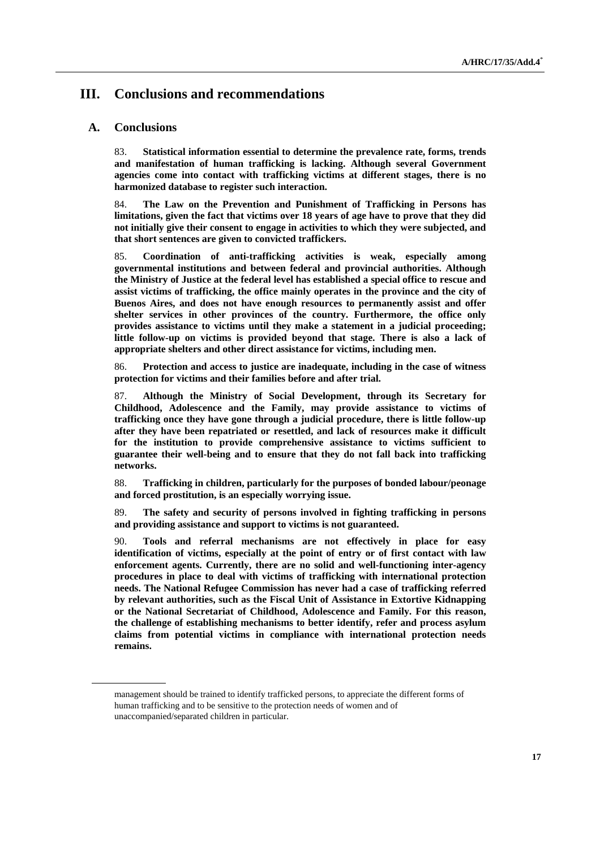# **III. Conclusions and recommendations**

#### **A. Conclusions**

83. **Statistical information essential to determine the prevalence rate, forms, trends and manifestation of human trafficking is lacking. Although several Government agencies come into contact with trafficking victims at different stages, there is no harmonized database to register such interaction.** 

84. **The Law on the Prevention and Punishment of Trafficking in Persons has limitations, given the fact that victims over 18 years of age have to prove that they did not initially give their consent to engage in activities to which they were subjected, and that short sentences are given to convicted traffickers.** 

85. **Coordination of anti-trafficking activities is weak, especially among governmental institutions and between federal and provincial authorities. Although the Ministry of Justice at the federal level has established a special office to rescue and assist victims of trafficking, the office mainly operates in the province and the city of Buenos Aires, and does not have enough resources to permanently assist and offer shelter services in other provinces of the country. Furthermore, the office only provides assistance to victims until they make a statement in a judicial proceeding; little follow-up on victims is provided beyond that stage. There is also a lack of appropriate shelters and other direct assistance for victims, including men.** 

86. **Protection and access to justice are inadequate, including in the case of witness protection for victims and their families before and after trial.** 

87. **Although the Ministry of Social Development, through its Secretary for Childhood, Adolescence and the Family, may provide assistance to victims of trafficking once they have gone through a judicial procedure, there is little follow-up after they have been repatriated or resettled, and lack of resources make it difficult for the institution to provide comprehensive assistance to victims sufficient to guarantee their well-being and to ensure that they do not fall back into trafficking networks.** 

88. **Trafficking in children, particularly for the purposes of bonded labour/peonage and forced prostitution, is an especially worrying issue.** 

89. **The safety and security of persons involved in fighting trafficking in persons and providing assistance and support to victims is not guaranteed.** 

90. **Tools and referral mechanisms are not effectively in place for easy identification of victims, especially at the point of entry or of first contact with law enforcement agents. Currently, there are no solid and well-functioning inter-agency procedures in place to deal with victims of trafficking with international protection needs. The National Refugee Commission has never had a case of trafficking referred by relevant authorities, such as the Fiscal Unit of Assistance in Extortive Kidnapping or the National Secretariat of Childhood, Adolescence and Family. For this reason, the challenge of establishing mechanisms to better identify, refer and process asylum claims from potential victims in compliance with international protection needs remains.** 

management should be trained to identify trafficked persons, to appreciate the different forms of human trafficking and to be sensitive to the protection needs of women and of unaccompanied/separated children in particular.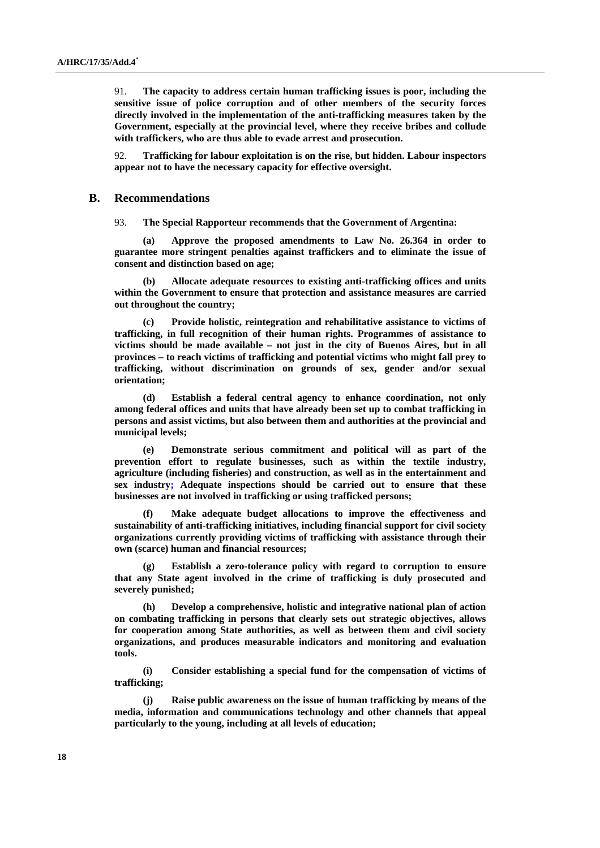91. **The capacity to address certain human trafficking issues is poor, including the sensitive issue of police corruption and of other members of the security forces directly involved in the implementation of the anti-trafficking measures taken by the Government, especially at the provincial level, where they receive bribes and collude with traffickers, who are thus able to evade arrest and prosecution.** 

92. **Trafficking for labour exploitation is on the rise, but hidden. Labour inspectors appear not to have the necessary capacity for effective oversight.** 

#### **B. Recommendations**

93. **The Special Rapporteur recommends that the Government of Argentina:** 

 **(a) Approve the proposed amendments to Law No. 26.364 in order to guarantee more stringent penalties against traffickers and to eliminate the issue of consent and distinction based on age;** 

 **(b) Allocate adequate resources to existing anti-trafficking offices and units within the Government to ensure that protection and assistance measures are carried out throughout the country;** 

 **(c) Provide holistic, reintegration and rehabilitative assistance to victims of trafficking, in full recognition of their human rights. Programmes of assistance to victims should be made available – not just in the city of Buenos Aires, but in all provinces – to reach victims of trafficking and potential victims who might fall prey to trafficking, without discrimination on grounds of sex, gender and/or sexual orientation;** 

 **(d) Establish a federal central agency to enhance coordination, not only among federal offices and units that have already been set up to combat trafficking in persons and assist victims, but also between them and authorities at the provincial and municipal levels;** 

 **(e) Demonstrate serious commitment and political will as part of the prevention effort to regulate businesses, such as within the textile industry, agriculture (including fisheries) and construction, as well as in the entertainment and sex industry; Adequate inspections should be carried out to ensure that these businesses are not involved in trafficking or using trafficked persons;** 

 **(f) Make adequate budget allocations to improve the effectiveness and sustainability of anti-trafficking initiatives, including financial support for civil society organizations currently providing victims of trafficking with assistance through their own (scarce) human and financial resources;** 

 **(g) Establish a zero-tolerance policy with regard to corruption to ensure that any State agent involved in the crime of trafficking is duly prosecuted and severely punished;** 

 **(h) Develop a comprehensive, holistic and integrative national plan of action on combating trafficking in persons that clearly sets out strategic objectives, allows for cooperation among State authorities, as well as between them and civil society organizations, and produces measurable indicators and monitoring and evaluation tools.** 

 **(i) Consider establishing a special fund for the compensation of victims of trafficking;** 

**Raise public awareness on the issue of human trafficking by means of the media, information and communications technology and other channels that appeal particularly to the young, including at all levels of education;**